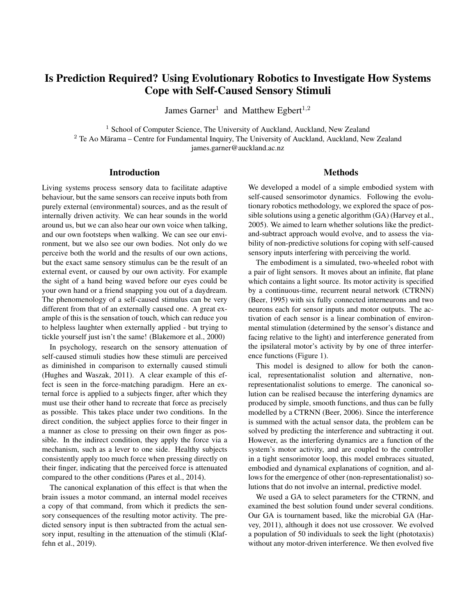# Is Prediction Required? Using Evolutionary Robotics to Investigate How Systems Cope with Self-Caused Sensory Stimuli

James Garner<sup>1</sup> and Matthew Egbert<sup>1,2</sup>

<sup>1</sup> School of Computer Science, The University of Auckland, Auckland, New Zealand  $2$  Te Ao Mārama – Centre for Fundamental Inquiry, The University of Auckland, Auckland, New Zealand james.garner@auckland.ac.nz

## Introduction

Living systems process sensory data to facilitate adaptive behaviour, but the same sensors can receive inputs both from purely external (environmental) sources, and as the result of internally driven activity. We can hear sounds in the world around us, but we can also hear our own voice when talking, and our own footsteps when walking. We can see our environment, but we also see our own bodies. Not only do we perceive both the world and the results of our own actions, but the exact same sensory stimulus can be the result of an external event, or caused by our own activity. For example the sight of a hand being waved before our eyes could be your own hand or a friend snapping you out of a daydream. The phenomenology of a self-caused stimulus can be very different from that of an externally caused one. A great example of this is the sensation of touch, which can reduce you to helpless laughter when externally applied - but trying to tickle yourself just isn't the same! (Blakemore et al., 2000)

In psychology, research on the sensory attenuation of self-caused stimuli studies how these stimuli are perceived as diminished in comparison to externally caused stimuli (Hughes and Waszak, 2011). A clear example of this effect is seen in the force-matching paradigm. Here an external force is applied to a subjects finger, after which they must use their other hand to recreate that force as precisely as possible. This takes place under two conditions. In the direct condition, the subject applies force to their finger in a manner as close to pressing on their own finger as possible. In the indirect condition, they apply the force via a mechanism, such as a lever to one side. Healthy subjects consistently apply too much force when pressing directly on their finger, indicating that the perceived force is attenuated compared to the other conditions (Pares et al., 2014).

The canonical explanation of this effect is that when the brain issues a motor command, an internal model receives a copy of that command, from which it predicts the sensory consequences of the resulting motor activity. The predicted sensory input is then subtracted from the actual sensory input, resulting in the attenuation of the stimuli (Klaffehn et al., 2019).

## **Methods**

We developed a model of a simple embodied system with self-caused sensorimotor dynamics. Following the evolutionary robotics methodology, we explored the space of possible solutions using a genetic algorithm (GA) (Harvey et al., 2005). We aimed to learn whether solutions like the predictand-subtract approach would evolve, and to assess the viability of non-predictive solutions for coping with self-caused sensory inputs interfering with perceiving the world.

The embodiment is a simulated, two-wheeled robot with a pair of light sensors. It moves about an infinite, flat plane which contains a light source. Its motor activity is specified by a continuous-time, recurrent neural network (CTRNN) (Beer, 1995) with six fully connected interneurons and two neurons each for sensor inputs and motor outputs. The activation of each sensor is a linear combination of environmental stimulation (determined by the sensor's distance and facing relative to the light) and interference generated from the ipsilateral motor's activity by by one of three interference functions (Figure 1).

This model is designed to allow for both the canonical, representationalist solution and alternative, nonrepresentationalist solutions to emerge. The canonical solution can be realised because the interfering dynamics are produced by simple, smooth functions, and thus can be fully modelled by a CTRNN (Beer, 2006). Since the interference is summed with the actual sensor data, the problem can be solved by predicting the interference and subtracting it out. However, as the interfering dynamics are a function of the system's motor activity, and are coupled to the controller in a tight sensorimotor loop, this model embraces situated, embodied and dynamical explanations of cognition, and allows for the emergence of other (non-representationalist) solutions that do not involve an internal, predictive model.

We used a GA to select parameters for the CTRNN, and examined the best solution found under several conditions. Our GA is tournament based, like the microbial GA (Harvey, 2011), although it does not use crossover. We evolved a population of 50 individuals to seek the light (phototaxis) without any motor-driven interference. We then evolved five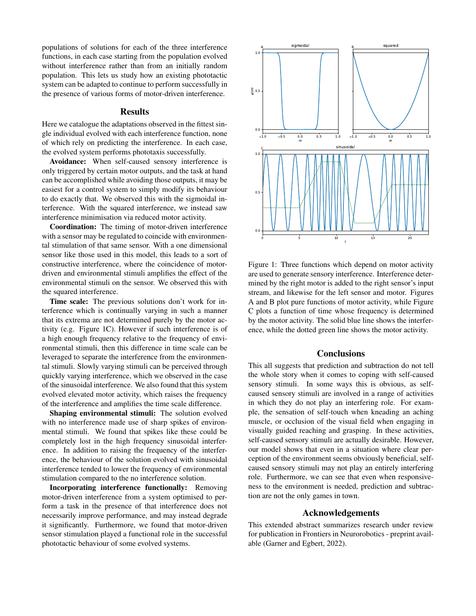populations of solutions for each of the three interference functions, in each case starting from the population evolved without interference rather than from an initially random population. This lets us study how an existing phototactic system can be adapted to continue to perform successfully in the presence of various forms of motor-driven interference.

#### Results

Here we catalogue the adaptations observed in the fittest single individual evolved with each interference function, none of which rely on predicting the interference. In each case, the evolved system performs phototaxis successfully.

Avoidance: When self-caused sensory interference is only triggered by certain motor outputs, and the task at hand can be accomplished while avoiding those outputs, it may be easiest for a control system to simply modify its behaviour to do exactly that. We observed this with the sigmoidal interference. With the squared interference, we instead saw interference minimisation via reduced motor activity.

Coordination: The timing of motor-driven interference with a sensor may be regulated to coincide with environmental stimulation of that same sensor. With a one dimensional sensor like those used in this model, this leads to a sort of constructive interference, where the coincidence of motordriven and environmental stimuli amplifies the effect of the environmental stimuli on the sensor. We observed this with the squared interference.

Time scale: The previous solutions don't work for interference which is continually varying in such a manner that its extrema are not determined purely by the motor activity (e.g. Figure 1C). However if such interference is of a high enough frequency relative to the frequency of environmental stimuli, then this difference in time scale can be leveraged to separate the interference from the environmental stimuli. Slowly varying stimuli can be perceived through quickly varying interference, which we observed in the case of the sinusoidal interference. We also found that this system evolved elevated motor activity, which raises the frequency of the interference and amplifies the time scale difference.

Shaping environmental stimuli: The solution evolved with no interference made use of sharp spikes of environmental stimuli. We found that spikes like these could be completely lost in the high frequency sinusoidal interference. In addition to raising the frequency of the interference, the behaviour of the solution evolved with sinusoidal interference tended to lower the frequency of environmental stimulation compared to the no interference solution.

Incorporating interference functionally: Removing motor-driven interference from a system optimised to perform a task in the presence of that interference does not necessarily improve performance, and may instead degrade it significantly. Furthermore, we found that motor-driven sensor stimulation played a functional role in the successful phototactic behaviour of some evolved systems.



Figure 1: Three functions which depend on motor activity are used to generate sensory interference. Interference determined by the right motor is added to the right sensor's input stream, and likewise for the left sensor and motor. Figures A and B plot pure functions of motor activity, while Figure C plots a function of time whose frequency is determined by the motor activity. The solid blue line shows the interference, while the dotted green line shows the motor activity.

## **Conclusions**

This all suggests that prediction and subtraction do not tell the whole story when it comes to coping with self-caused sensory stimuli. In some ways this is obvious, as selfcaused sensory stimuli are involved in a range of activities in which they do not play an interfering role. For example, the sensation of self-touch when kneading an aching muscle, or occlusion of the visual field when engaging in visually guided reaching and grasping. In these activities, self-caused sensory stimuli are actually desirable. However, our model shows that even in a situation where clear perception of the environment seems obviously beneficial, selfcaused sensory stimuli may not play an entirely interfering role. Furthermore, we can see that even when responsiveness to the environment is needed, prediction and subtraction are not the only games in town.

# Acknowledgements

This extended abstract summarizes research under review for publication in Frontiers in Neurorobotics - preprint available (Garner and Egbert, 2022).